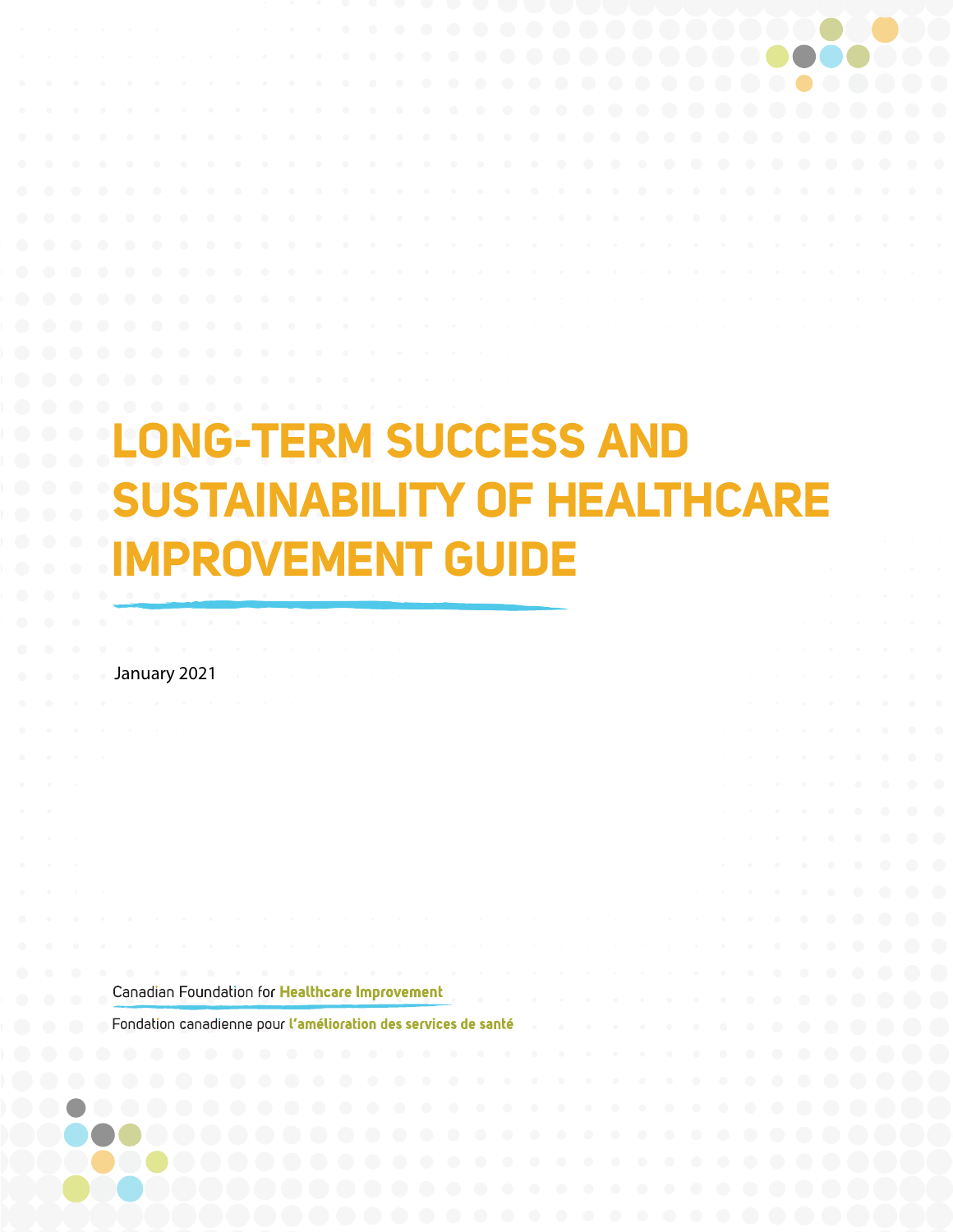# <span id="page-0-0"></span>**LONG-TERM SUCCESS AND SUSTAINABILITY OF HEALTHCARE IMPROVEMENT GUIDE**

January 2021

Canadian Foundation for Healthcare Improvement

Fondation canadienne pour l'amélioration des services de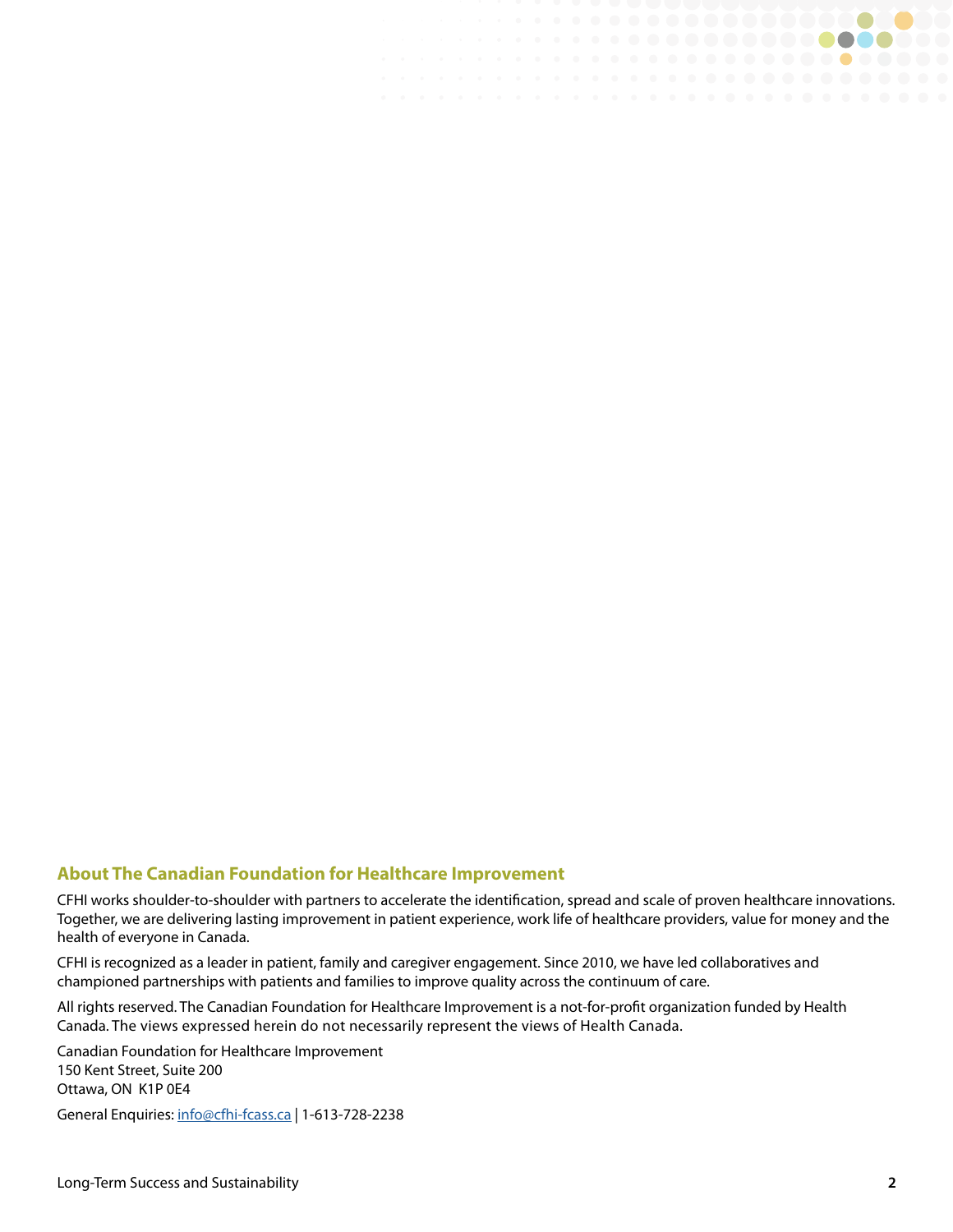#### **About The Canadian Foundation for Healthcare Improvement**

CFHI works shoulder-to-shoulder with partners to accelerate the identification, spread and scale of proven healthcare innovations. Together, we are delivering lasting improvement in patient experience, work life of healthcare providers, value for money and the health of everyone in Canada.

. . . . . . **. . . . . . . . . . .** .

CFHI is recognized as a leader in patient, family and caregiver engagement. Since 2010, we have led collaboratives and championed partnerships with patients and families to improve quality across the continuum of care.

All rights reserved. The Canadian Foundation for Healthcare Improvement is a not-for-profit organization funded by Health Canada. The views expressed herein do not necessarily represent the views of Health Canada.

Canadian Foundation for Healthcare Improvement 150 Kent Street, Suite 200 Ottawa, ON K1P 0E4

General Enquiries: [info@cfhi-fcass.ca](mailto:info%40cfhi-fcass.ca?subject=) | 1-613-728-2238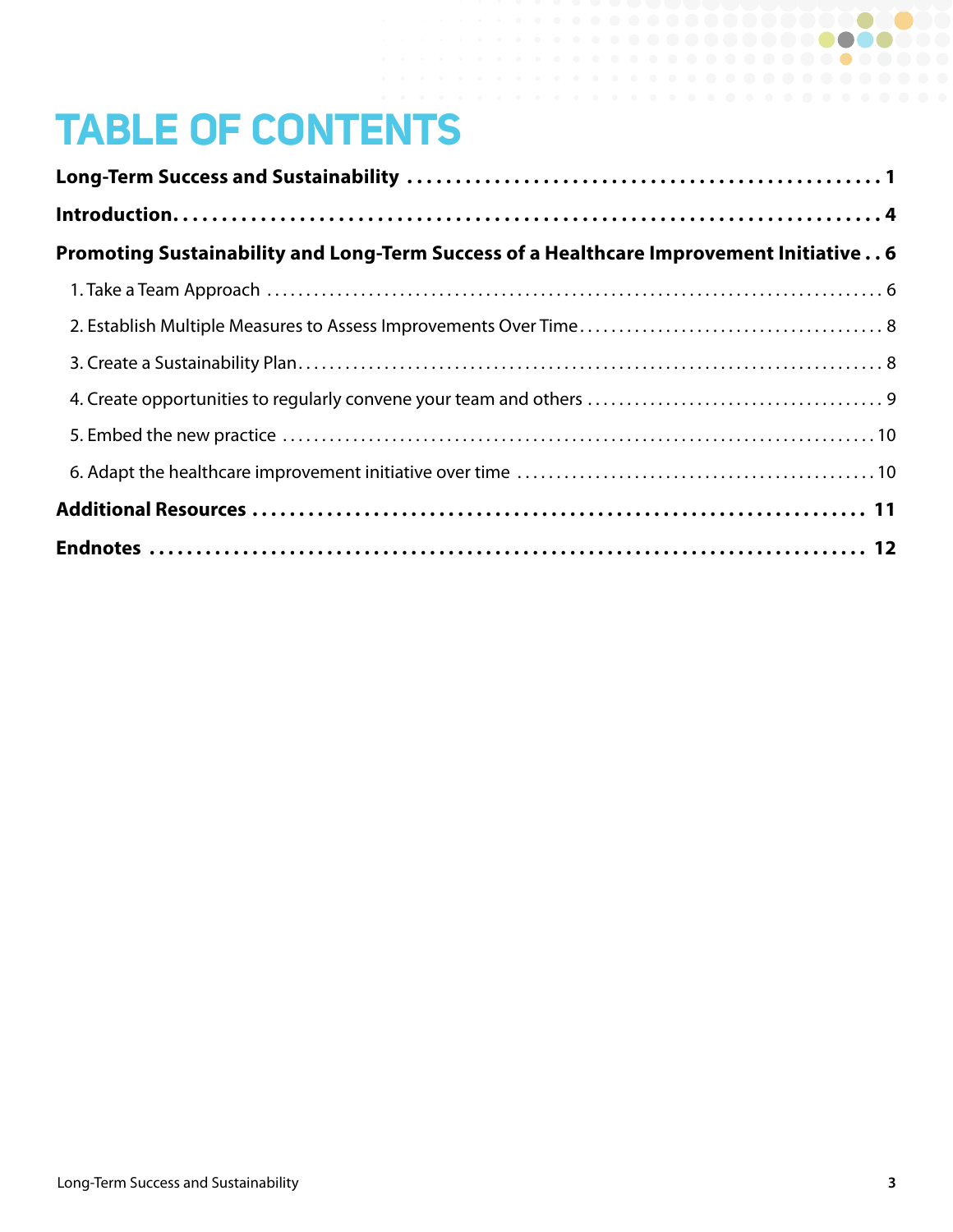# **TABLE OF CONTENTS**

| Promoting Sustainability and Long-Term Success of a Healthcare Improvement Initiative 6 |  |
|-----------------------------------------------------------------------------------------|--|
|                                                                                         |  |
|                                                                                         |  |
|                                                                                         |  |
|                                                                                         |  |
|                                                                                         |  |
|                                                                                         |  |
|                                                                                         |  |
|                                                                                         |  |

DO OO

 $\bullet$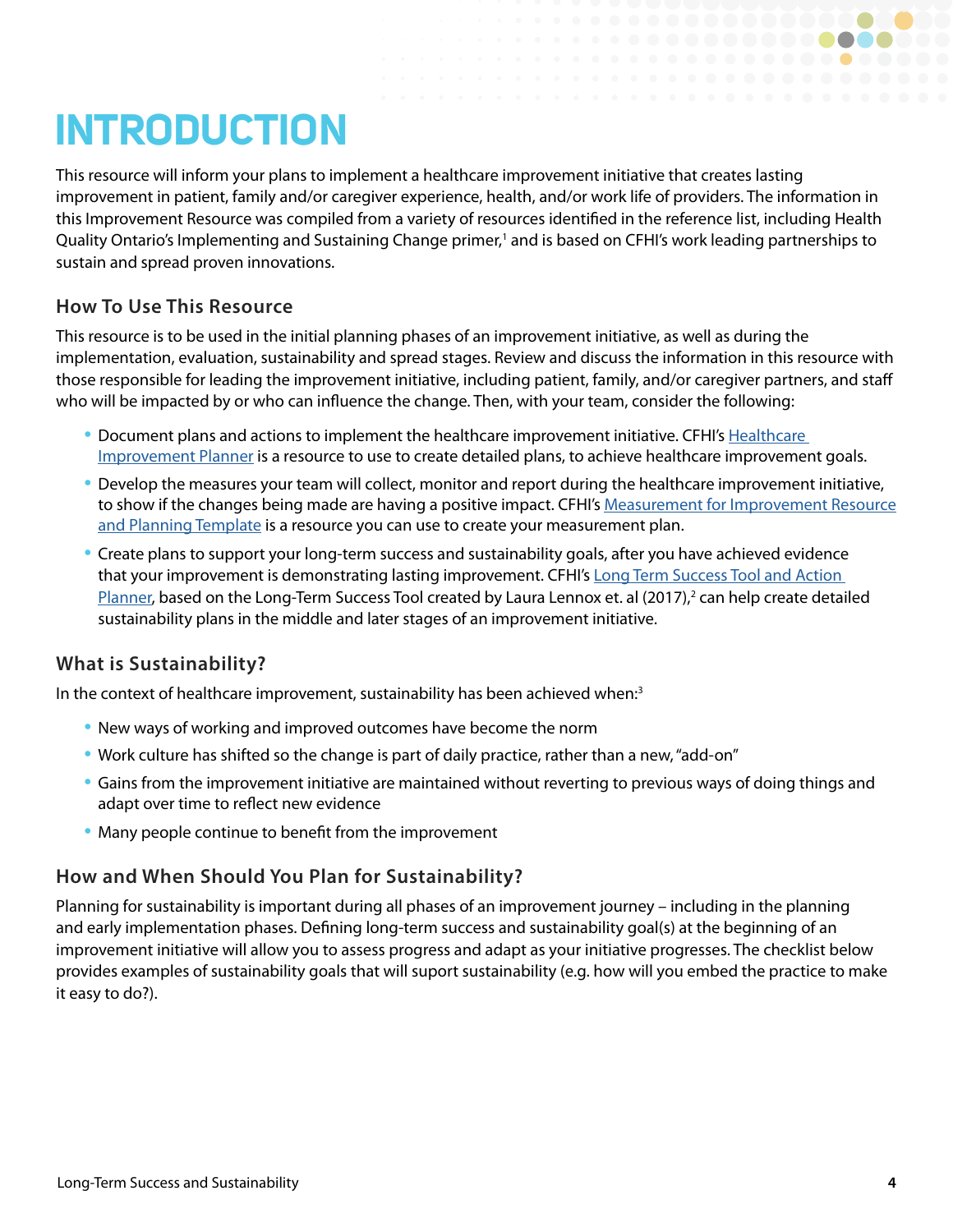# <span id="page-3-0"></span>**INTRODUCTION**

This resource will inform your plans to implement a healthcare improvement initiative that creates lasting improvement in patient, family and/or caregiver experience, health, and/or work life of providers. The information in this Improvement Resource was compiled from a variety of resources identified in the reference list, including Health Quality Ontario's Implementing and Sustaining Change primer,<sup>1</sup> and is based on CFHI's work leading partnerships to sustain and spread proven innovations.

#### **How To Use This Resource**

This resource is to be used in the initial planning phases of an improvement initiative, as well as during the implementation, evaluation, sustainability and spread stages. Review and discuss the information in this resource with those responsible for leading the improvement initiative, including patient, family, and/or caregiver partners, and staff who will be impacted by or who can influence the change. Then, with your team, consider the following:

- Document plans and actions to implement the healthcare improvement initiative. CFHI's Healthcare [Improvement Planner](https://www.cfhi-fcass.ca/docs/default-source/itr/tools-and-resources/qi/healthcare-improvement-planner-e.pdf) is a resource to use to create detailed plans, to achieve healthcare improvement goals.
- Develop the measures your team will collect, monitor and report during the healthcare improvement initiative, to show if the changes being made are having a positive impact. CFHI's [Measurement for Improvement Resource](https://www.cfhi-fcass.ca/docs/default-source/itr/tools-and-resources/qi/measurement-for-quality-improvement-template-e.pdf) [and Planning Template](https://www.cfhi-fcass.ca/docs/default-source/itr/tools-and-resources/qi/measurement-for-quality-improvement-template-e.pdf) is a resource you can use to create your measurement plan.
- Create plans to support your long-term success and sustainability goals, after you have achieved evidence that your improvement is demonstrating lasting improvement. CFHI's Long Term Success Tool and Action [Planner](https://www.cfhi-fcass.ca/docs/default-source/itr/tools-and-resources/qi/long-term-success-sustainability-tool-action-planner-e.pdf), based on the Long-Term Success Tool created by Laura Lennox et. al (2017),<sup>2</sup> can help create detailed sustainability plans in the middle and later stages of an improvement initiative.

#### **What is Sustainability?**

In the context of healthcare improvement, sustainability has been achieved when:3

- New ways of working and improved outcomes have become the norm
- Work culture has shifted so the change is part of daily practice, rather than a new, "add-on"
- Gains from the improvement initiative are maintained without reverting to previous ways of doing things and adapt over time to reflect new evidence
- Many people continue to benefit from the improvement

#### **How and When Should You Plan for Sustainability?**

Planning for sustainability is important during all phases of an improvement journey – including in the planning and early implementation phases. Defining long-term success and sustainability goal(s) at the beginning of an improvement initiative will allow you to assess progress and adapt as your initiative progresses. The checklist below provides examples of sustainability goals that will suport sustainability (e.g. how will you embed the practice to make it easy to do?).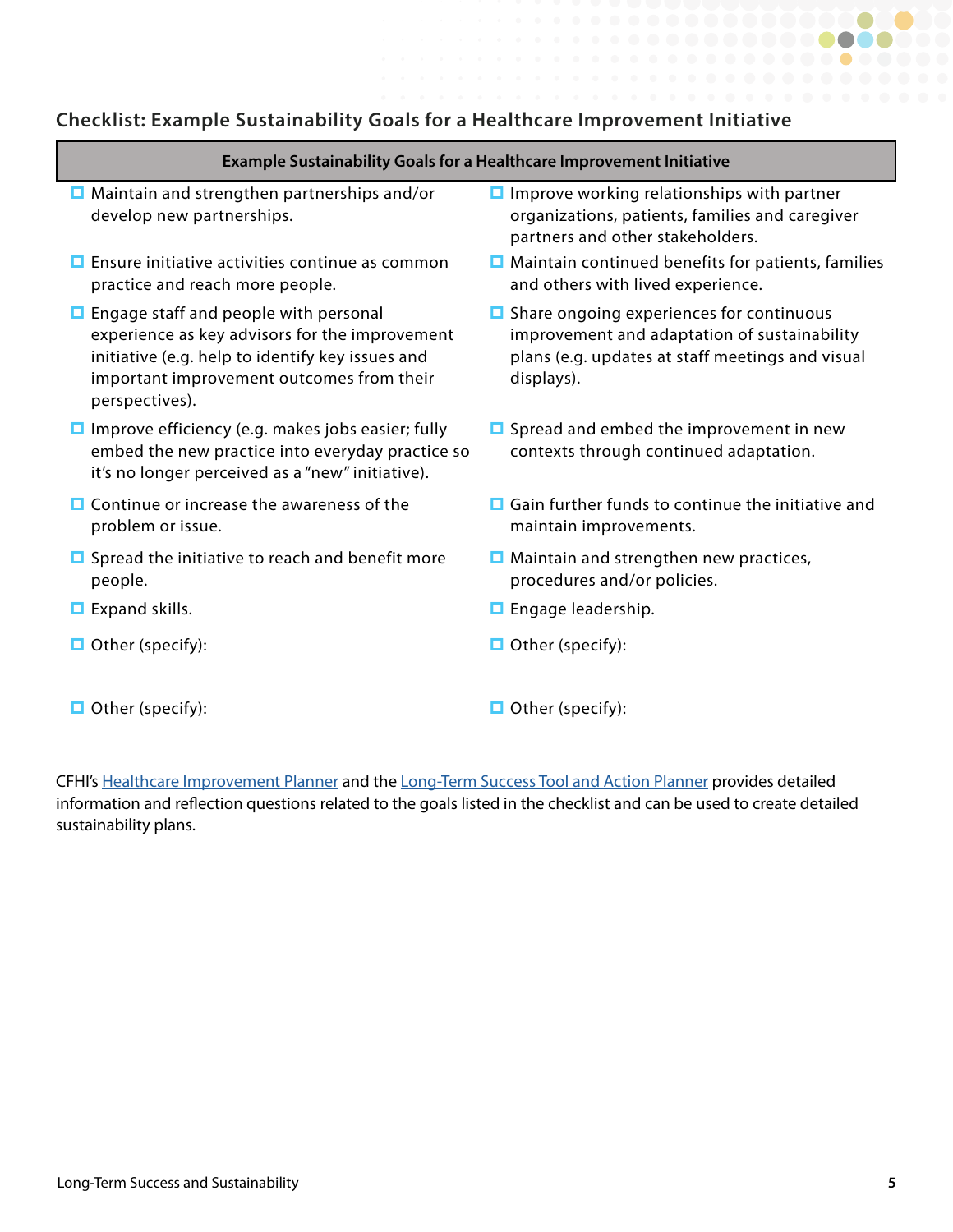#### **Checklist: Example Sustainability Goals for a Healthcare Improvement Initiative**

- $\Box$  Maintain and strengthen partnerships and/or develop new partnerships.
- $\Box$  Ensure initiative activities continue as common practice and reach more people.
- $\Box$  Engage staff and people with personal experience as key advisors for the improvement initiative (e.g. help to identify key issues and important improvement outcomes from their perspectives).
- $\Box$  Improve efficiency (e.g. makes jobs easier; fully embed the new practice into everyday practice so it's no longer perceived as a "new" initiative).
- $\Box$  Continue or increase the awareness of the problem or issue.
- $\Box$  Spread the initiative to reach and benefit more people.
- 
- 
- $\Box$  Other (specify):  $\Box$  Other (specify):
- $\Box$  Improve working relationships with partner organizations, patients, families and caregiver partners and other stakeholders.
- $\Box$  Maintain continued benefits for patients, families and others with lived experience.
- $\Box$  Share ongoing experiences for continuous improvement and adaptation of sustainability plans (e.g. updates at staff meetings and visual displays).
- $\square$  Spread and embed the improvement in new contexts through continued adaptation.
- $\Box$  Gain further funds to continue the initiative and maintain improvements.
- $\Box$  Maintain and strengthen new practices, procedures and/or policies.
- $\Box$  Expand skills.  $\Box$  Engage leadership.
- $\Box$  Other (specify):  $\Box$  Other (specify):
	-

CFHI's [Healthcare Improvement Planner](https://www.cfhi-fcass.ca/docs/default-source/itr/tools-and-resources/qi/healthcare-improvement-planner-e.pdf) and the [Long-Term Success Tool and Action Planner](https://www.cfhi-fcass.ca/docs/default-source/itr/tools-and-resources/qi/long-term-success-sustainability-tool-action-planner-e.pdf) provides detailed information and reflection questions related to the goals listed in the checklist and can be used to create detailed sustainability plans.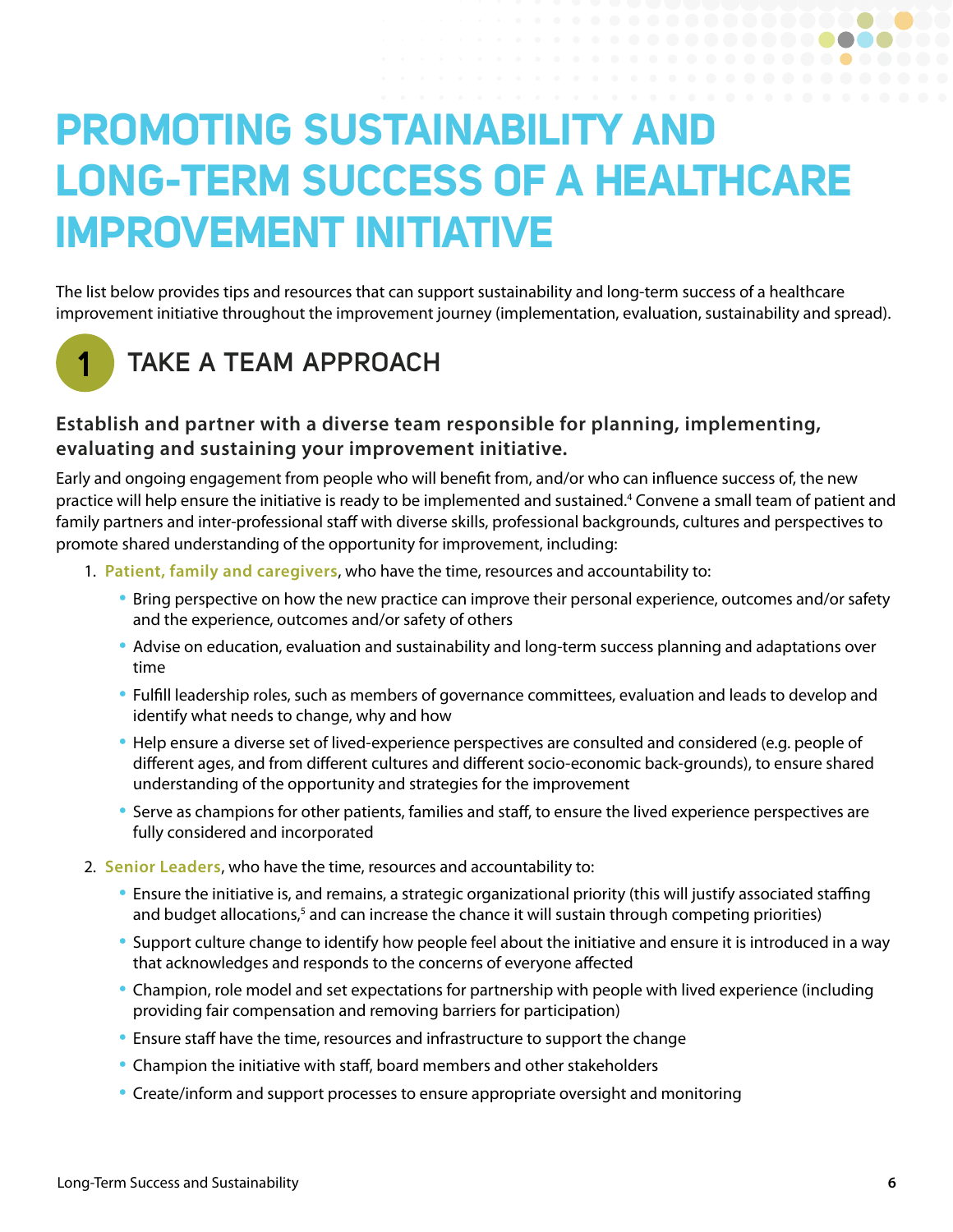## <span id="page-5-0"></span>**PROMOTING SUSTAINABILITY AND LONG-TERM SUCCESS OF A HEALTHCARE IMPROVEMENT INITIATIVE**

The list below provides tips and resources that can support sustainability and long-term success of a healthcare improvement initiative throughout the improvement journey (implementation, evaluation, sustainability and spread).



## **TAKE A TEAM APPROACH**

#### **Establish and partner with a diverse team responsible for planning, implementing, evaluating and sustaining your improvement initiative.**

Early and ongoing engagement from people who will benefit from, and/or who can influence success of, the new practice will help ensure the initiative is ready to be implemented and sustained.<sup>4</sup> Convene a small team of patient and family partners and inter-professional staff with diverse skills, professional backgrounds, cultures and perspectives to promote shared understanding of the opportunity for improvement, including:

- 1. **Patient, family and caregivers**, who have the time, resources and accountability to:
	- Bring perspective on how the new practice can improve their personal experience, outcomes and/or safety and the experience, outcomes and/or safety of others
	- Advise on education, evaluation and sustainability and long-term success planning and adaptations over time
	- Fulfill leadership roles, such as members of governance committees, evaluation and leads to develop and identify what needs to change, why and how
	- Help ensure a diverse set of lived-experience perspectives are consulted and considered (e.g. people of different ages, and from different cultures and different socio-economic back-grounds), to ensure shared understanding of the opportunity and strategies for the improvement
	- Serve as champions for other patients, families and staff, to ensure the lived experience perspectives are fully considered and incorporated
- 2. **Senior Leaders**, who have the time, resources and accountability to:
	- Ensure the initiative is, and remains, a strategic organizational priority (this will justify associated staffing and budget allocations,<sup>5</sup> and can increase the chance it will sustain through competing priorities)
	- Support culture change to identify how people feel about the initiative and ensure it is introduced in a way that acknowledges and responds to the concerns of everyone affected
	- Champion, role model and set expectations for partnership with people with lived experience (including providing fair compensation and removing barriers for participation)
	- Ensure staff have the time, resources and infrastructure to support the change
	- Champion the initiative with staff, board members and other stakeholders
	- Create/inform and support processes to ensure appropriate oversight and monitoring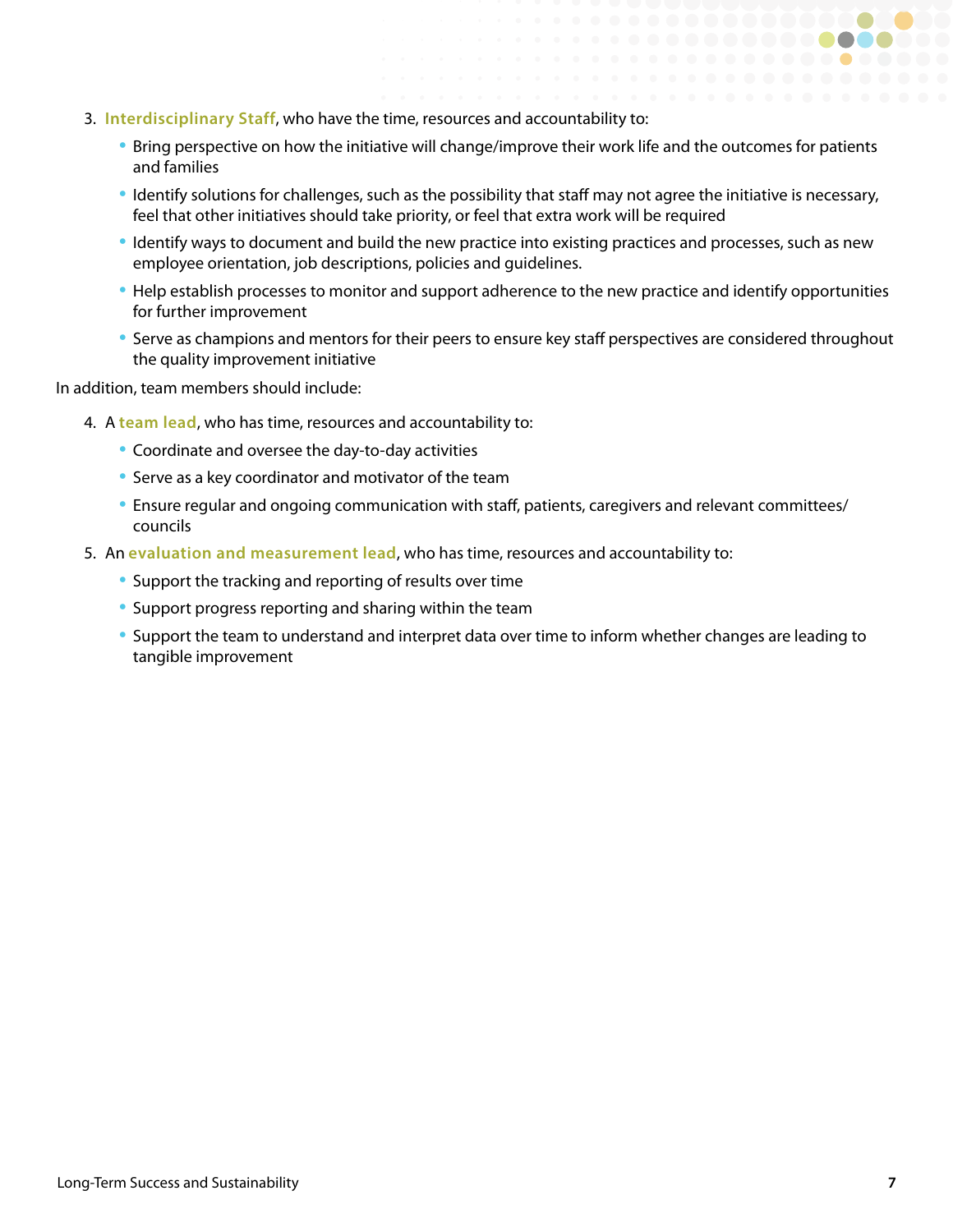- 3. **Interdisciplinary Staff**, who have the time, resources and accountability to:
	- Bring perspective on how the initiative will change/improve their work life and the outcomes for patients and families
	- Identify solutions for challenges, such as the possibility that staff may not agree the initiative is necessary, feel that other initiatives should take priority, or feel that extra work will be required
	- Identify ways to document and build the new practice into existing practices and processes, such as new employee orientation, job descriptions, policies and guidelines.
	- Help establish processes to monitor and support adherence to the new practice and identify opportunities for further improvement
	- Serve as champions and mentors for their peers to ensure key staff perspectives are considered throughout the quality improvement initiative

In addition, team members should include:

- 4. A **team lead**, who has time, resources and accountability to:
	- Coordinate and oversee the day-to-day activities
	- Serve as a key coordinator and motivator of the team
	- Ensure regular and ongoing communication with staff, patients, caregivers and relevant committees/ councils
- 5. An **evaluation and measurement lead**, who has time, resources and accountability to:
	- Support the tracking and reporting of results over time
	- Support progress reporting and sharing within the team
	- Support the team to understand and interpret data over time to inform whether changes are leading to tangible improvement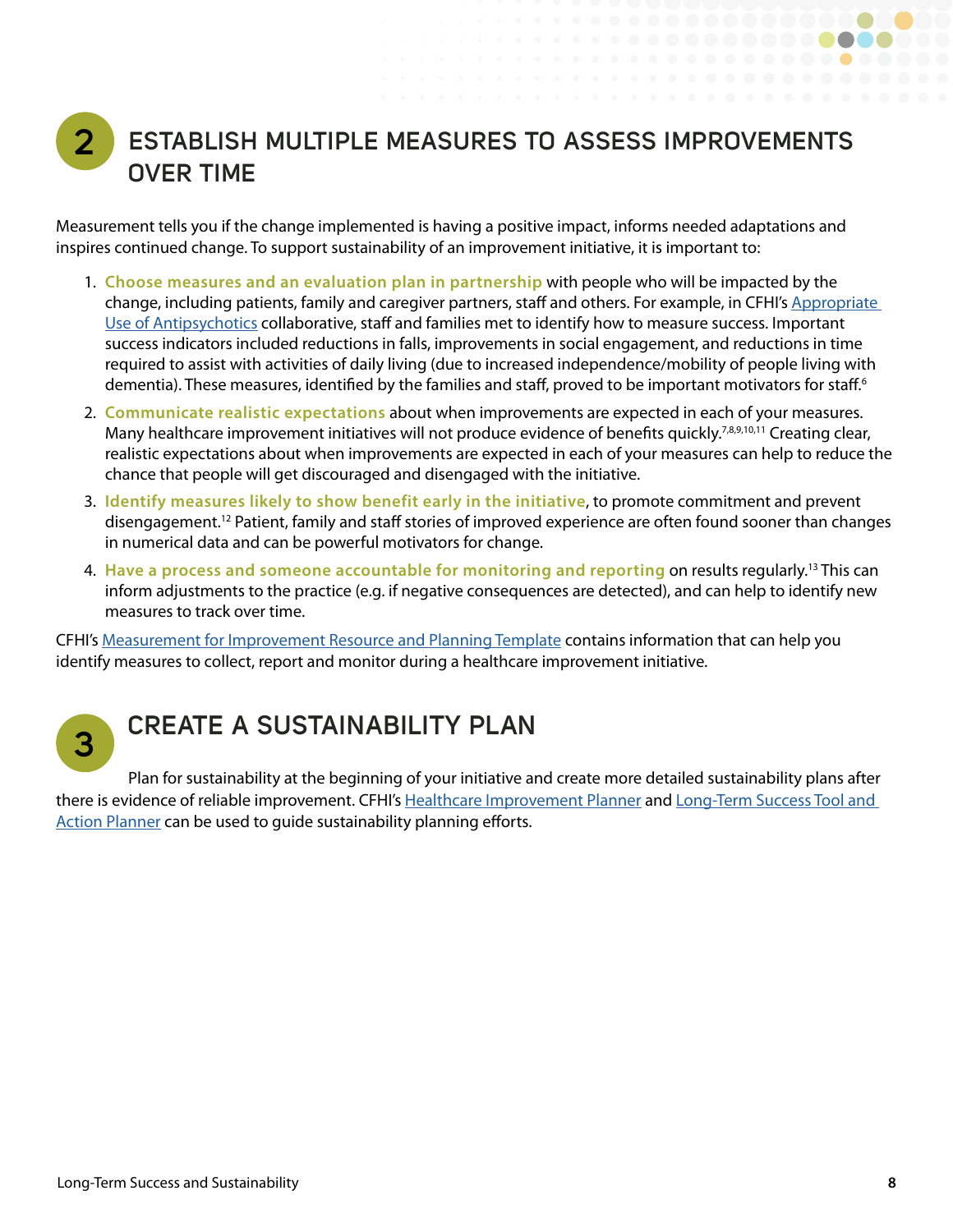## <span id="page-7-0"></span>**2 ESTABLISH MULTIPLE MEASURES TO ASSESS IMPROVEMENTS OVER TIME**

Measurement tells you if the change implemented is having a positive impact, informs needed adaptations and inspires continued change. To support sustainability of an improvement initiative, it is important to:

- 1. **Choose measures and an evaluation plan in partnership** with people who will be impacted by the change, including patients, family and caregiver partners, staff and others. For example, in CFHI's [Appropriate](https://www.cfhi-fcass.ca/WhatWeDo/appropriate-use-of-antipsychotics)  [Use of Antipsychotics](https://www.cfhi-fcass.ca/WhatWeDo/appropriate-use-of-antipsychotics) collaborative, staff and families met to identify how to measure success. Important success indicators included reductions in falls, improvements in social engagement, and reductions in time required to assist with activities of daily living (due to increased independence/mobility of people living with dementia). These measures, identified by the families and staff, proved to be important motivators for staff.<sup>6</sup>
- 2. **Communicate realistic expectations** about when improvements are expected in each of your measures. Many healthcare improvement initiatives will not produce evidence of benefits quickly.<sup>7,8,9,10,11</sup> Creating clear, realistic expectations about when improvements are expected in each of your measures can help to reduce the chance that people will get discouraged and disengaged with the initiative.
- 3. **Identify measures likely to show benefit early in the initiative**, to promote commitment and prevent disengagement.12 Patient, family and staff stories of improved experience are often found sooner than changes in numerical data and can be powerful motivators for change.
- 4. **Have a process and someone accountable for monitoring and reporting** on results regularly.13 This can inform adjustments to the practice (e.g. if negative consequences are detected), and can help to identify new measures to track over time.

CFHI's [Measurement for Improvement Resource and Planning Template](https://www.cfhi-fcass.ca/docs/default-source/itr/tools-and-resources/qi/measurement-for-quality-improvement-template-e.pdf) contains information that can help you identify measures to collect, report and monitor during a healthcare improvement initiative.



## **CREATE A SUSTAINABILITY PLAN**

Plan for sustainability at the beginning of your initiative and create more detailed sustainability plans after there is evidence of reliable improvement. CFHI's [Healthcare Improvement Planner](https://www.cfhi-fcass.ca/docs/default-source/itr/tools-and-resources/qi/healthcare-improvement-planner-e.pdf) and [Long-Term Success Tool and](https://www.cfhi-fcass.ca/docs/default-source/itr/tools-and-resources/qi/long-term-success-sustainability-tool-action-planner-e.pdf)  [Action Planner](https://www.cfhi-fcass.ca/docs/default-source/itr/tools-and-resources/qi/long-term-success-sustainability-tool-action-planner-e.pdf) can be used to quide sustainability planning efforts.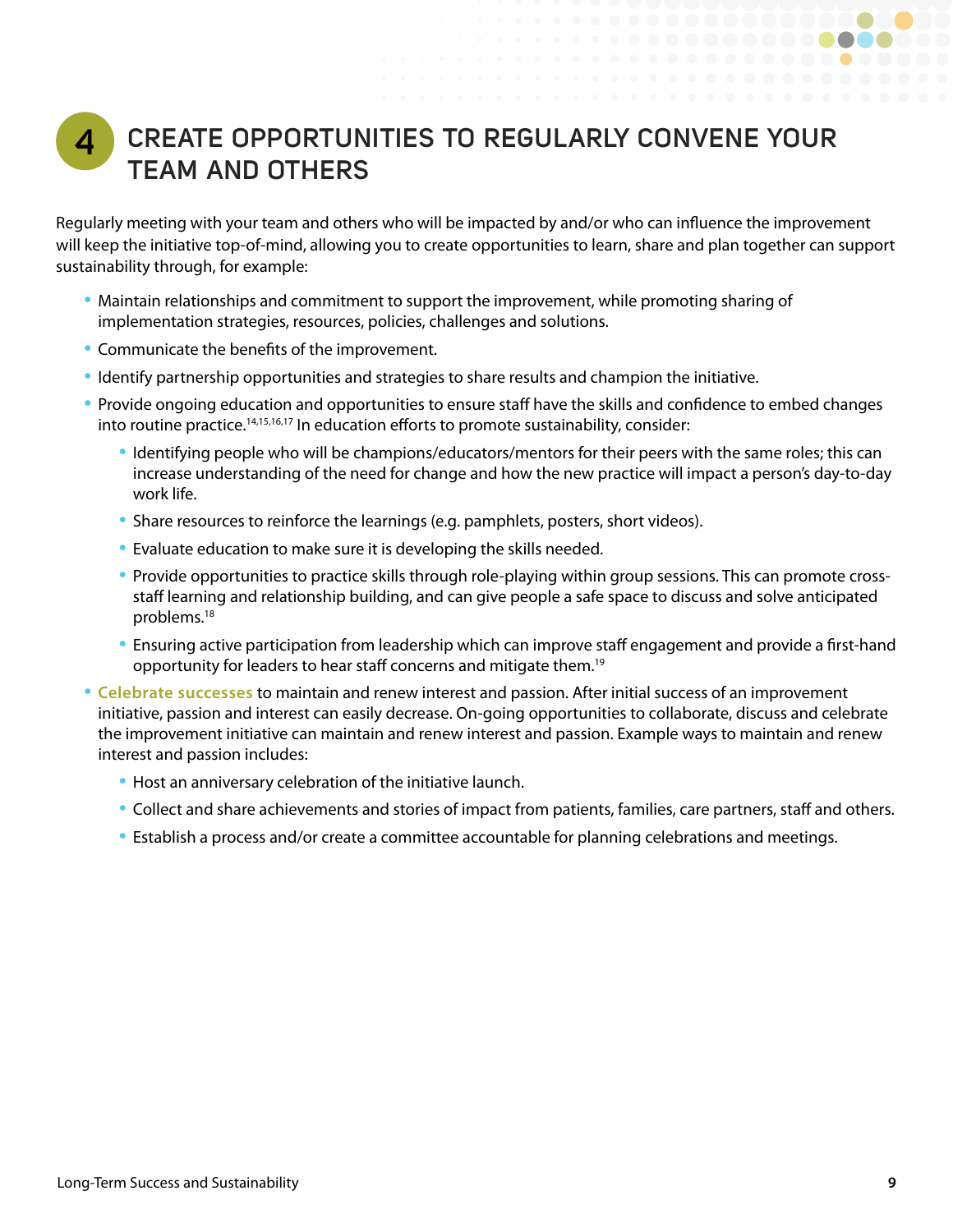#### <span id="page-8-0"></span>**CREATE OPPORTUNITIES TO REGULARLY CONVENE YOUR TEAM AND OTHERS 4**

Regularly meeting with your team and others who will be impacted by and/or who can influence the improvement will keep the initiative top-of-mind, allowing you to create opportunities to learn, share and plan together can support sustainability through, for example:

- Maintain relationships and commitment to support the improvement, while promoting sharing of implementation strategies, resources, policies, challenges and solutions.
- Communicate the benefits of the improvement.
- Identify partnership opportunities and strategies to share results and champion the initiative.
- Provide ongoing education and opportunities to ensure staff have the skills and confidence to embed changes into routine practice.<sup>14,15,16,17</sup> In education efforts to promote sustainability, consider:
	- Identifying people who will be champions/educators/mentors for their peers with the same roles; this can increase understanding of the need for change and how the new practice will impact a person's day-to-day work life.
	- Share resources to reinforce the learnings (e.g. pamphlets, posters, short videos).
	- Evaluate education to make sure it is developing the skills needed.
	- Provide opportunities to practice skills through role-playing within group sessions. This can promote crossstaff learning and relationship building, and can give people a safe space to discuss and solve anticipated problems.18
	- Ensuring active participation from leadership which can improve staff engagement and provide a first-hand opportunity for leaders to hear staff concerns and mitigate them.<sup>19</sup>
- **Celebrate successes** to maintain and renew interest and passion. After initial success of an improvement initiative, passion and interest can easily decrease. On-going opportunities to collaborate, discuss and celebrate the improvement initiative can maintain and renew interest and passion. Example ways to maintain and renew interest and passion includes:
	- Host an anniversary celebration of the initiative launch.
	- Collect and share achievements and stories of impact from patients, families, care partners, staff and others.
	- Establish a process and/or create a committee accountable for planning celebrations and meetings.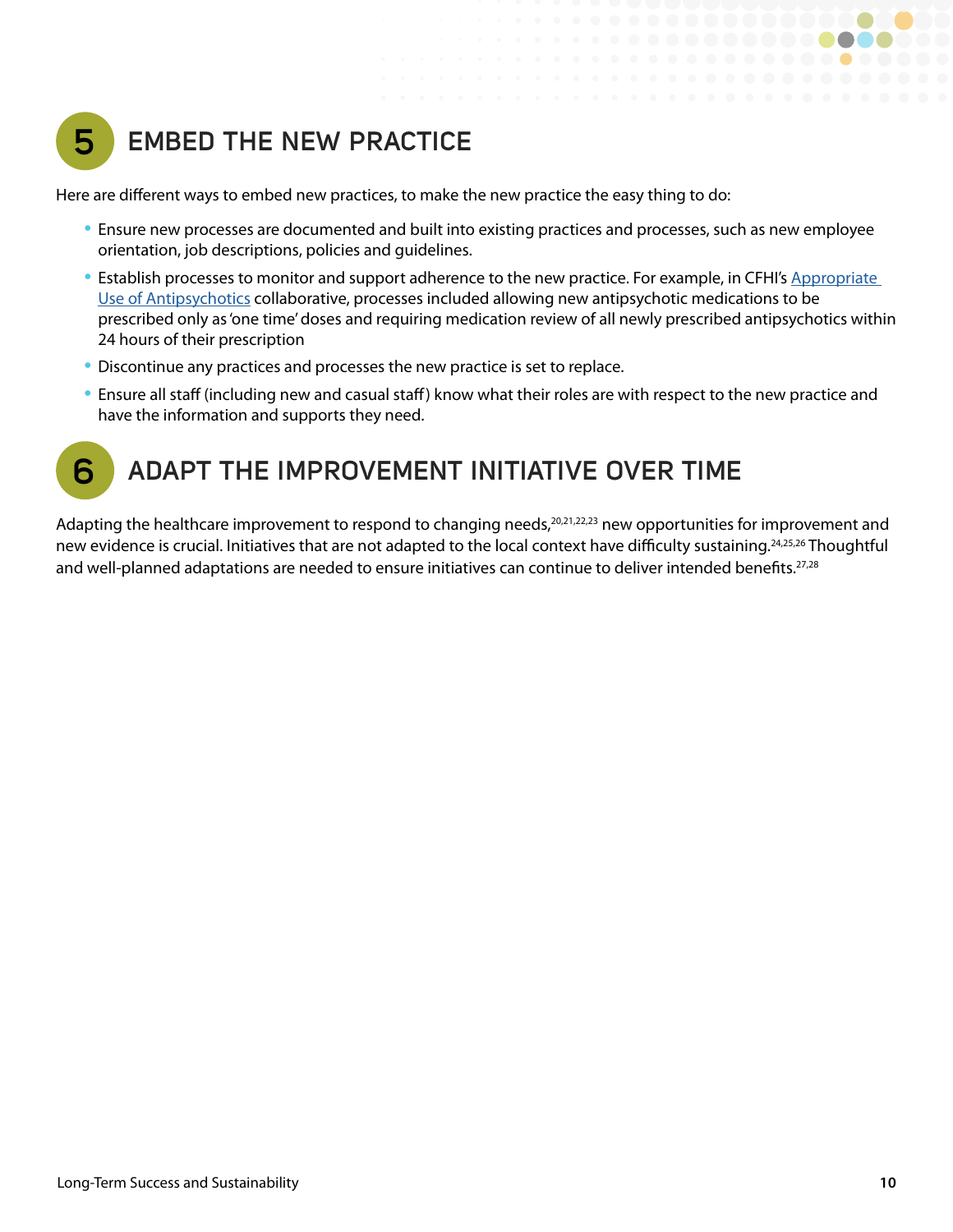<span id="page-9-0"></span>

### **EMBED THE NEW PRACTICE**

Here are different ways to embed new practices, to make the new practice the easy thing to do:

- Ensure new processes are documented and built into existing practices and processes, such as new employee orientation, job descriptions, policies and guidelines.
- Establish processes to monitor and support adherence to the new practice. For example, in CFHI's Appropriate [Use of Antipsychotics](https://www.cfhi-fcass.ca/WhatWeDo/appropriate-use-of-antipsychotics) collaborative, processes included allowing new antipsychotic medications to be prescribed only as 'one time' doses and requiring medication review of all newly prescribed antipsychotics within 24 hours of their prescription
- Discontinue any practices and processes the new practice is set to replace.
- Ensure all staff (including new and casual staff) know what their roles are with respect to the new practice and have the information and supports they need.

#### **ADAPT THE IMPROVEMENT INITIATIVE OVER TIME 6**

Adapting the healthcare improvement to respond to changing needs,<sup>20,21,22,23</sup> new opportunities for improvement and new evidence is crucial. Initiatives that are not adapted to the local context have difficulty sustaining.<sup>24,25,26</sup> Thoughtful and well-planned adaptations are needed to ensure initiatives can continue to deliver intended benefits.<sup>27,28</sup>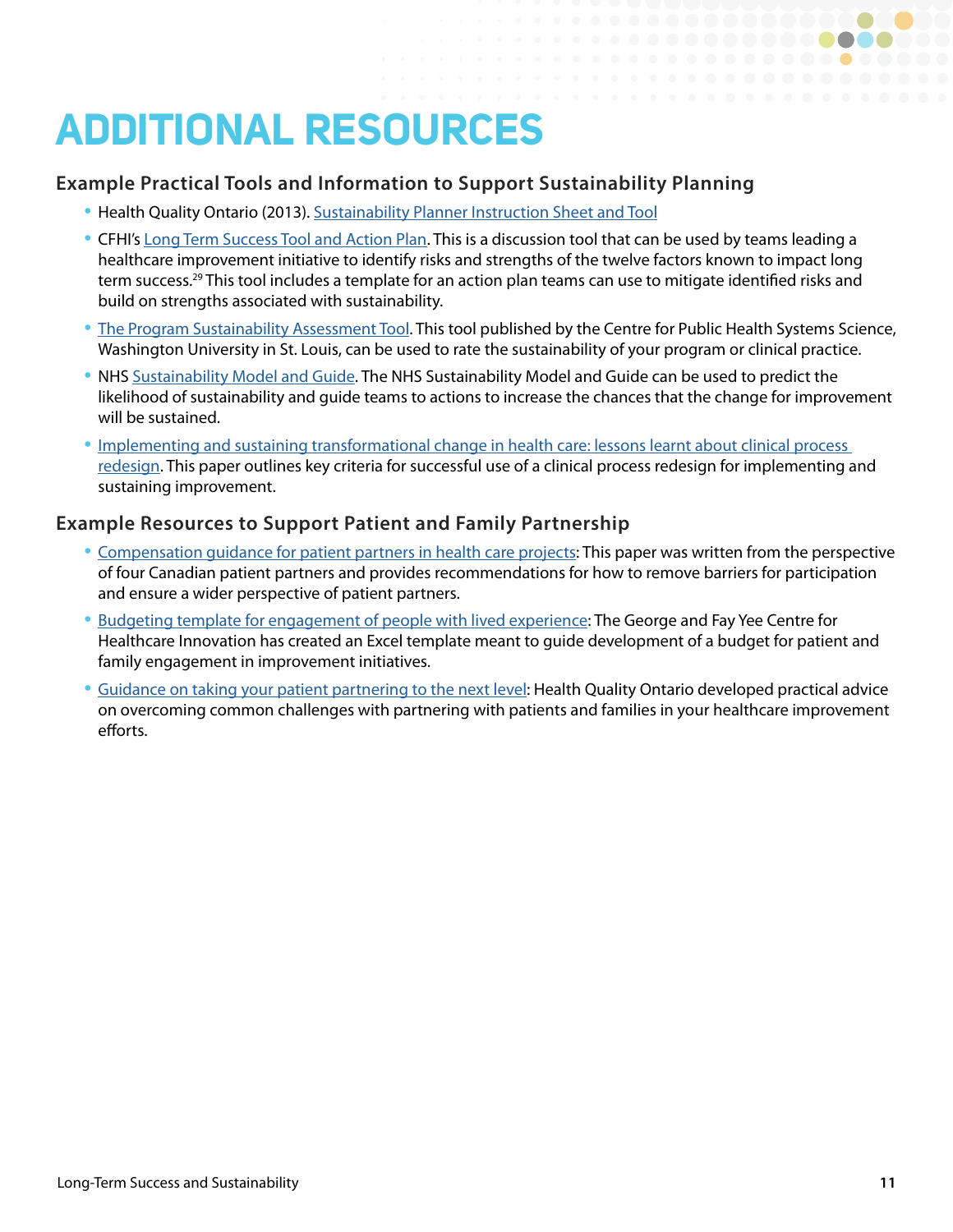# <span id="page-10-0"></span>**ADDITIONAL RESOURCES**

#### **Example Practical Tools and Information to Support Sustainability Planning**

- Health Quality Ontario (2013). [Sustainability Planner Instruction Sheet and Tool](http://www.hqontario.ca/Portals/0/documents/qi/qi-sustainability-planner-instruction-sheet-and-tool-en.pdf)
- CFHI's [Long Term Success Tool and Action Plan](https://www.cfhi-fcass.ca/docs/default-source/itr/tools-and-resources/qi/long-term-success-sustainability-tool-action-planner-e.pdf). This is a discussion tool that can be used by teams leading a healthcare improvement initiative to identify risks and strengths of the twelve factors known to impact long term success.<sup>29</sup> This tool includes a template for an action plan teams can use to mitigate identified risks and build on strengths associated with sustainability.
- [The Program Sustainability Assessment Tool](https://sustaintool.org/). This tool published by the Centre for Public Health Systems Science, Washington University in St. Louis, can be used to rate the sustainability of your program or clinical practice.
- NHS [Sustainability Model and Guide](http://www.qihub.scot.nhs.uk/media/162236/sustainability_model.pdf). The NHS Sustainability Model and Guide can be used to predict the likelihood of sustainability and guide teams to actions to increase the chances that the change for improvement will be sustained.
- [Implementing and sustaining transformational change in health care: lessons learnt about clinical process](https://www.mja.com.au/journal/2008/188/6/implementing-and-sustaining-transformational-change-health-care-lessons-learnt)  [redesign.](https://www.mja.com.au/journal/2008/188/6/implementing-and-sustaining-transformational-change-health-care-lessons-learnt) This paper outlines key criteria for successful use of a clinical process redesign for implementing and sustaining improvement.

#### **Example Resources to Support Patient and Family Partnership**

- [Compensation guidance for patient partners in health care projects](https://pxjournal.org/cgi/viewcontent.cgi?article=1334&context=journal): This paper was written from the perspective of four Canadian patient partners and provides recommendations for how to remove barriers for participation and ensure a wider perspective of patient partners.
- [Budgeting template for engagement of people with lived experience:](https://medium.com/knowledgenudge/how-to-use-chis-new-patient-and-public-engagement-budgeting-tool-f051a55369ca) The George and Fay Yee Centre for Healthcare Innovation has created an Excel template meant to guide development of a budget for patient and family engagement in improvement initiatives.
- [Guidance on taking your patient partnering to the next level:](https://hqontario.ca/Portals/0/documents/pe/patient-partnering-next-level-en.pdf) Health Quality Ontario developed practical advice on overcoming common challenges with partnering with patients and families in your healthcare improvement efforts.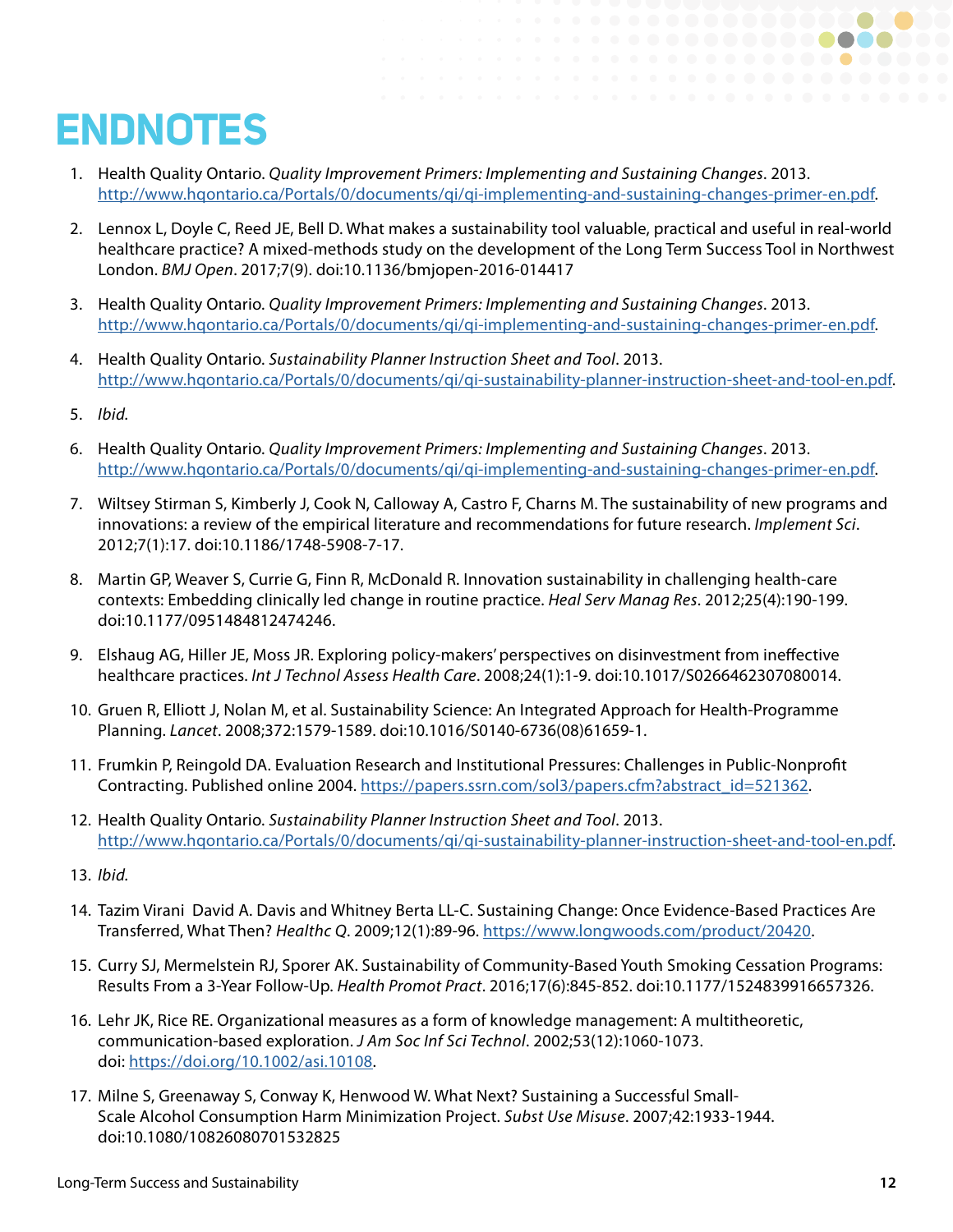## <span id="page-11-0"></span>**ENDNOTES**

1. Health Quality Ontario. *Quality Improvement Primers: Implementing and Sustaining Changes*. 2013. <http://www.hqontario.ca/Portals/0/documents/qi/qi-implementing-and-sustaining-changes-primer-en.pdf>.

. . . . . . **. . . . . . . . . . .** 0

- 2. Lennox L, Doyle C, Reed JE, Bell D. What makes a sustainability tool valuable, practical and useful in real-world healthcare practice? A mixed-methods study on the development of the Long Term Success Tool in Northwest London. *BMJ Open*. 2017;7(9). doi:10.1136/bmjopen-2016-014417
- 3. Health Quality Ontario. *Quality Improvement Primers: Implementing and Sustaining Changes*. 2013. <http://www.hqontario.ca/Portals/0/documents/qi/qi-implementing-and-sustaining-changes-primer-en.pdf>.
- 4. Health Quality Ontario. *Sustainability Planner Instruction Sheet and Tool*. 2013. <http://www.hqontario.ca/Portals/0/documents/qi/qi-sustainability-planner-instruction-sheet-and-tool-en.pdf>.
- 5. *Ibid.*
- 6. Health Quality Ontario. *Quality Improvement Primers: Implementing and Sustaining Changes*. 2013. <http://www.hqontario.ca/Portals/0/documents/qi/qi-implementing-and-sustaining-changes-primer-en.pdf>.
- 7. Wiltsey Stirman S, Kimberly J, Cook N, Calloway A, Castro F, Charns M. The sustainability of new programs and innovations: a review of the empirical literature and recommendations for future research. *Implement Sci*. 2012;7(1):17. doi:10.1186/1748-5908-7-17.
- 8. Martin GP, Weaver S, Currie G, Finn R, McDonald R. Innovation sustainability in challenging health-care contexts: Embedding clinically led change in routine practice. *Heal Serv Manag Res*. 2012;25(4):190-199. doi:10.1177/0951484812474246.
- 9. Elshaug AG, Hiller JE, Moss JR. Exploring policy-makers' perspectives on disinvestment from ineffective healthcare practices. *Int J Technol Assess Health Care*. 2008;24(1):1-9. doi:10.1017/S0266462307080014.
- 10. Gruen R, Elliott J, Nolan M, et al. Sustainability Science: An Integrated Approach for Health-Programme Planning. *Lancet*. 2008;372:1579-1589. doi:10.1016/S0140-6736(08)61659-1.
- 11. Frumkin P, Reingold DA. Evaluation Research and Institutional Pressures: Challenges in Public-Nonprofit Contracting. Published online 2004. [https://papers.ssrn.com/sol3/papers.cfm?abstract\\_id=521362.](https://papers.ssrn.com/sol3/papers.cfm?abstract_id=521362)
- 12. Health Quality Ontario. *Sustainability Planner Instruction Sheet and Tool*. 2013. <http://www.hqontario.ca/Portals/0/documents/qi/qi-sustainability-planner-instruction-sheet-and-tool-en.pdf>.
- 13. *Ibid.*
- 14. Tazim Virani David A. Davis and Whitney Berta LL-C. Sustaining Change: Once Evidence-Based Practices Are Transferred, What Then? *Healthc Q*. 2009;12(1):89-96. <https://www.longwoods.com/product/20420>.
- 15. Curry SJ, Mermelstein RJ, Sporer AK. Sustainability of Community-Based Youth Smoking Cessation Programs: Results From a 3-Year Follow-Up. *Health Promot Pract*. 2016;17(6):845-852. doi:10.1177/1524839916657326.
- 16. Lehr JK, Rice RE. Organizational measures as a form of knowledge management: A multitheoretic, communication-based exploration. *J Am Soc Inf Sci Technol*. 2002;53(12):1060-1073. doi: [https://doi.org/10.1002/asi.10108.](https://doi.org/10.1002/asi.10108)
- 17. Milne S, Greenaway S, Conway K, Henwood W. What Next? Sustaining a Successful Small-Scale Alcohol Consumption Harm Minimization Project. *Subst Use Misuse*. 2007;42:1933-1944. doi:10.1080/10826080701532825